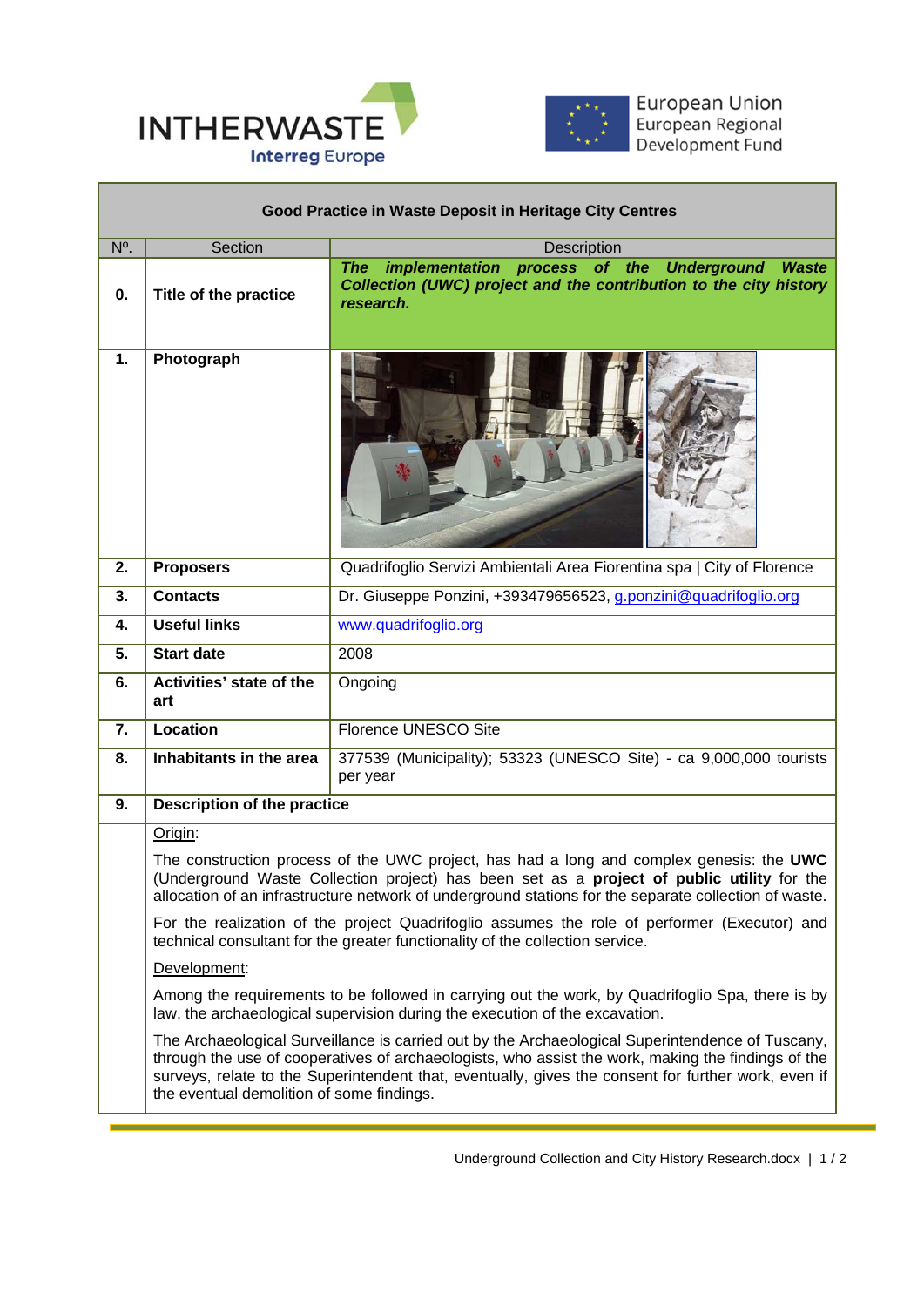

I



European Union<br>European Regional<br>Development Fund

ī

| Good Practice in Waste Deposit in Heritage City Centres |                                                                                                                                                                                                                                                                                                                   |                                                                                                                                                                                                                                                                                                               |  |
|---------------------------------------------------------|-------------------------------------------------------------------------------------------------------------------------------------------------------------------------------------------------------------------------------------------------------------------------------------------------------------------|---------------------------------------------------------------------------------------------------------------------------------------------------------------------------------------------------------------------------------------------------------------------------------------------------------------|--|
| N°.                                                     | Section                                                                                                                                                                                                                                                                                                           | <b>Description</b>                                                                                                                                                                                                                                                                                            |  |
| 0.                                                      | <b>Title of the practice</b>                                                                                                                                                                                                                                                                                      | implementation process of the<br><b>Underground Waste</b><br>The<br>Collection (UWC) project and the contribution to the city history<br>research.                                                                                                                                                            |  |
| 1.                                                      | Photograph                                                                                                                                                                                                                                                                                                        |                                                                                                                                                                                                                                                                                                               |  |
| 2.                                                      | <b>Proposers</b>                                                                                                                                                                                                                                                                                                  | Quadrifoglio Servizi Ambientali Area Fiorentina spa   City of Florence                                                                                                                                                                                                                                        |  |
| 3.                                                      | <b>Contacts</b>                                                                                                                                                                                                                                                                                                   | Dr. Giuseppe Ponzini, +393479656523, g.ponzini@quadrifoglio.org                                                                                                                                                                                                                                               |  |
| 4.                                                      | <b>Useful links</b>                                                                                                                                                                                                                                                                                               | www.quadrifoglio.org                                                                                                                                                                                                                                                                                          |  |
| 5.                                                      | <b>Start date</b>                                                                                                                                                                                                                                                                                                 | 2008                                                                                                                                                                                                                                                                                                          |  |
| 6.                                                      | Activities' state of the<br>art                                                                                                                                                                                                                                                                                   | Ongoing                                                                                                                                                                                                                                                                                                       |  |
| 7.                                                      | <b>Location</b>                                                                                                                                                                                                                                                                                                   | Florence UNESCO Site                                                                                                                                                                                                                                                                                          |  |
| 8.                                                      | Inhabitants in the area                                                                                                                                                                                                                                                                                           | 377539 (Municipality); 53323 (UNESCO Site) - ca 9,000,000 tourists<br>per year                                                                                                                                                                                                                                |  |
| 9.                                                      | Description of the practice                                                                                                                                                                                                                                                                                       |                                                                                                                                                                                                                                                                                                               |  |
|                                                         | Origin:<br>The construction process of the UWC project, has had a long and complex genesis: the UWC<br>(Underground Waste Collection project) has been set as a <b>project of public utility</b> for the<br>allocation of an infrastructure network of underground stations for the separate collection of waste. |                                                                                                                                                                                                                                                                                                               |  |
|                                                         |                                                                                                                                                                                                                                                                                                                   |                                                                                                                                                                                                                                                                                                               |  |
|                                                         |                                                                                                                                                                                                                                                                                                                   | For the realization of the project Quadrifoglio assumes the role of performer (Executor) and<br>technical consultant for the greater functionality of the collection service.                                                                                                                                 |  |
|                                                         | Development:                                                                                                                                                                                                                                                                                                      |                                                                                                                                                                                                                                                                                                               |  |
|                                                         |                                                                                                                                                                                                                                                                                                                   | Among the requirements to be followed in carrying out the work, by Quadrifoglio Spa, there is by<br>law, the archaeological supervision during the execution of the excavation.                                                                                                                               |  |
|                                                         | the eventual demolition of some findings.                                                                                                                                                                                                                                                                         | The Archaeological Surveillance is carried out by the Archaeological Superintendence of Tuscany,<br>through the use of cooperatives of archaeologists, who assist the work, making the findings of the<br>surveys, relate to the Superintendent that, eventually, gives the consent for further work, even if |  |

L